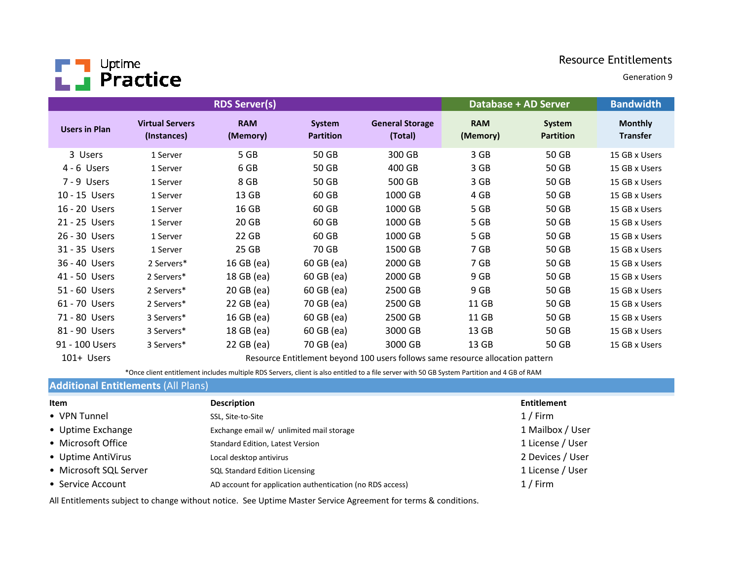

Generation 9

|                      |                                       | <b>RDS Server(s)</b>   |                            |                                   |                        | Database + AD Server       | <b>Bandwidth</b>                  |
|----------------------|---------------------------------------|------------------------|----------------------------|-----------------------------------|------------------------|----------------------------|-----------------------------------|
| <b>Users in Plan</b> | <b>Virtual Servers</b><br>(Instances) | <b>RAM</b><br>(Memory) | System<br><b>Partition</b> | <b>General Storage</b><br>(Total) | <b>RAM</b><br>(Memory) | System<br><b>Partition</b> | <b>Monthly</b><br><b>Transfer</b> |
| 3 Users              | 1 Server                              | 5 GB                   | 50 GB                      | 300 GB                            | 3 GB                   | 50 GB                      | 15 GB x Users                     |
| $4 - 6$ Users        | 1 Server                              | 6 GB                   | 50 GB                      | 400 GB                            | 3 GB                   | 50 GB                      | 15 GB x Users                     |
| 7 - 9 Users          | 1 Server                              | 8 GB                   | 50 GB                      | 500 GB                            | 3 GB                   | 50 GB                      | 15 GB x Users                     |
| 10 - 15 Users        | 1 Server                              | 13 GB                  | 60 GB                      | 1000 GB                           | 4 GB                   | 50 GB                      | 15 GB x Users                     |
| 16 - 20 Users        | 1 Server                              | 16 GB                  | 60 GB                      | 1000 GB                           | 5 GB                   | 50 GB                      | 15 GB x Users                     |
| 21 - 25 Users        | 1 Server                              | 20 GB                  | 60 GB                      | 1000 GB                           | 5 GB                   | 50 GB                      | 15 GB x Users                     |
| 26 - 30 Users        | 1 Server                              | 22 GB                  | 60 GB                      | 1000 GB                           | 5 GB                   | 50 GB                      | 15 GB x Users                     |
| 31 - 35 Users        | 1 Server                              | 25 GB                  | 70 GB                      | 1500 GB                           | 7 GB                   | 50 GB                      | 15 GB x Users                     |
| 36 - 40 Users        | 2 Servers*                            | 16 GB (ea)             | 60 GB (ea)                 | 2000 GB                           | 7 GB                   | 50 GB                      | 15 GB x Users                     |
| 41 - 50 Users        | 2 Servers*                            | 18 GB (ea)             | 60 GB (ea)                 | 2000 GB                           | 9 GB                   | 50 GB                      | 15 GB x Users                     |
| 51 - 60 Users        | 2 Servers*                            | 20 GB (ea)             | 60 GB (ea)                 | 2500 GB                           | 9 GB                   | 50 GB                      | 15 GB x Users                     |
| 61 - 70 Users        | 2 Servers*                            | 22 GB (ea)             | 70 GB (ea)                 | 2500 GB                           | 11 GB                  | 50 GB                      | 15 GB x Users                     |
| 71 - 80 Users        | 3 Servers*                            | 16 GB (ea)             | 60 GB (ea)                 | 2500 GB                           | 11 GB                  | 50 GB                      | 15 GB x Users                     |
| 81 - 90 Users        | 3 Servers*                            | 18 GB (ea)             | 60 GB (ea)                 | 3000 GB                           | 13 GB                  | 50 GB                      | 15 GB x Users                     |
| 91 - 100 Users       | 3 Servers*                            | 22 GB (ea)             | 70 GB (ea)                 | 3000 GB                           | 13 GB                  | 50 GB                      | 15 GB x Users                     |

101+ Users

Resource Entitlement beyond 100 users follows same resource allocation pattern

\*Once client entitlement includes multiple RDS Servers, client is also entitled to a file server with 50 GB System Partition and 4 GB of RAM

# **Additional Entitlements** (All Plans)

| Item                   | <b>Description</b>                                        | <b>Entitlement</b> |
|------------------------|-----------------------------------------------------------|--------------------|
| • VPN Tunnel           | SSL, Site-to-Site                                         | $1/$ Firm          |
| • Uptime Exchange      | Exchange email w/ unlimited mail storage                  | 1 Mailbox / User   |
| • Microsoft Office     | Standard Edition, Latest Version                          | 1 License / User   |
| • Uptime AntiVirus     | Local desktop antivirus                                   | 2 Devices / User   |
| • Microsoft SQL Server | <b>SQL Standard Edition Licensing</b>                     | 1 License / User   |
| • Service Account      | AD account for application authentication (no RDS access) | $1/$ Firm          |

All Entitlements subject to change without notice. See Uptime Master Service Agreement for terms & conditions.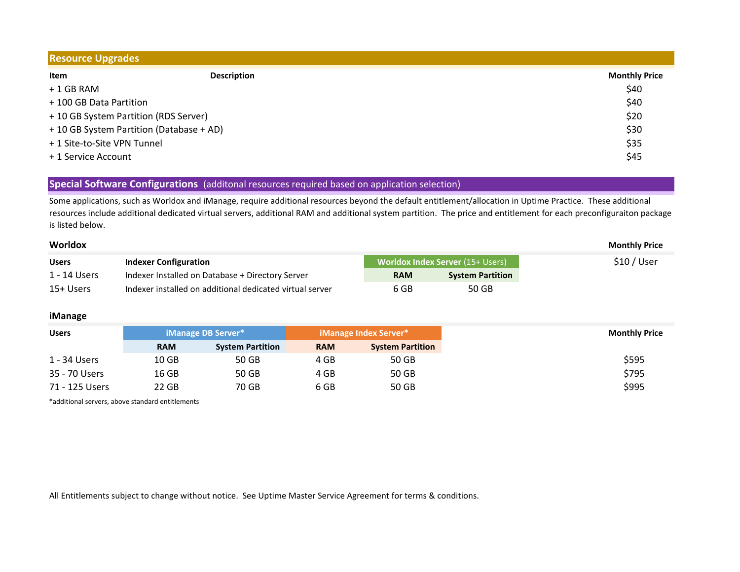| <b>Resource Upgrades</b>              |                                          |                      |  |  |  |
|---------------------------------------|------------------------------------------|----------------------|--|--|--|
| Item                                  | <b>Description</b>                       | <b>Monthly Price</b> |  |  |  |
| + 1 GB RAM                            |                                          | \$40                 |  |  |  |
| + 100 GB Data Partition               |                                          | \$40                 |  |  |  |
| + 10 GB System Partition (RDS Server) |                                          | \$20                 |  |  |  |
|                                       | + 10 GB System Partition (Database + AD) | \$30                 |  |  |  |
| + 1 Site-to-Site VPN Tunnel           |                                          | \$35                 |  |  |  |
| + 1 Service Account                   |                                          | \$45                 |  |  |  |

## **Special Software Configurations** (additonal resources required based on application selection)

Some applications, such as Worldox and iManage, require additional resources beyond the default entitlement/allocation in Uptime Practice. These additional resources include additional dedicated virtual servers, additional RAM and additional system partition. The price and entitlement for each preconfiguraiton package is listed below.

| Worldox      |                                                          |            |                                         | <b>Monthly Price</b> |
|--------------|----------------------------------------------------------|------------|-----------------------------------------|----------------------|
| <b>Users</b> | <b>Indexer Configuration</b>                             |            | <b>Worldox Index Server (15+ Users)</b> | \$10/User            |
| 1 - 14 Users | Indexer Installed on Database + Directory Server         | <b>RAM</b> | <b>System Partition</b>                 |                      |
| 15+ Users    | Indexer installed on additional dedicated virtual server | 6 GB       | 50 GB                                   |                      |

## **iManage**

| <b>Users</b>   |                  | <b>iManage DB Server*</b> |            | iManage Index Server*   |  |
|----------------|------------------|---------------------------|------------|-------------------------|--|
|                | <b>RAM</b>       | <b>System Partition</b>   | <b>RAM</b> | <b>System Partition</b> |  |
| 1 - 34 Users   | 10 <sub>GB</sub> | 50 GB                     | 4 GB       | 50 GB                   |  |
| 35 - 70 Users  | 16 GB            | 50 GB                     | 4 GB       | 50 GB                   |  |
| 71 - 125 Users | 22 GB            | 70 GB                     | 6 GB       | 50 GB                   |  |

\*additional servers, above standard entitlements

All Entitlements subject to change without notice. See Uptime Master Service Agreement for terms & conditions.